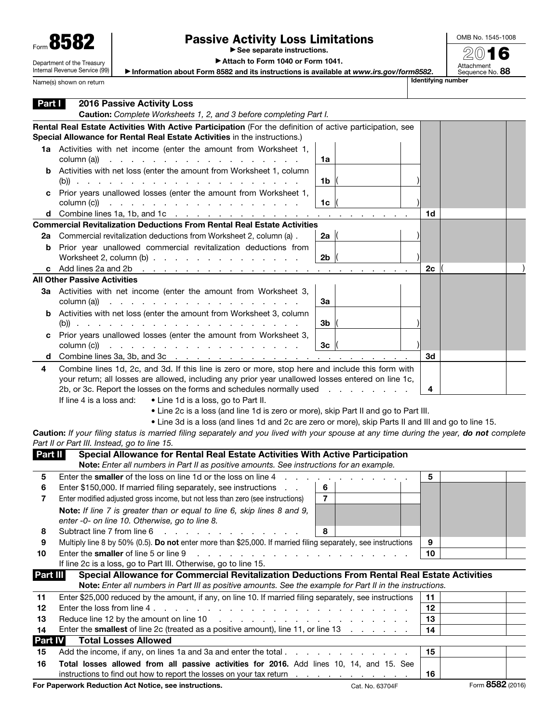| Form 858                   |
|----------------------------|
| Department of the Treasury |

Internal Revenue Service (99)

Name(s) shown on return

## Passive Activity Loss Limitations

▶ See separate instructions.

OMB No. 1545-1008 2016

Attachment<br>Sequence No. **88** 

▶ Attach to Form 1040 or Form 1041.

▶ Information about Form 8582 and its instructions is available at *www.irs.gov/form8582*.

| Rental Real Estate Activities With Active Participation (For the definition of active participation, see<br>Special Allowance for Rental Real Estate Activities in the instructions.)<br>1a Activities with net income (enter the amount from Worksheet 1,<br>column (a))<br>1a<br>.<br><b>b</b> Activities with net loss (enter the amount from Worksheet 1, column<br>1b<br>Prior years unallowed losses (enter the amount from Worksheet 1,<br>с<br>column (c))<br>a construction of the contract of the construction of the construction of the contract of the construction of<br>1c<br><b>d</b> Combine lines 1a, 1b, and 1c $\cdots$ $\cdots$ $\cdots$ $\cdots$ $\cdots$ $\cdots$ $\cdots$ $\cdots$ $\cdots$<br>1d<br><b>Commercial Revitalization Deductions From Rental Real Estate Activities</b><br>Commercial revitalization deductions from Worksheet 2, column (a).<br>2a $\parallel$<br>2a<br>Prior year unallowed commercial revitalization deductions from<br>b<br>Worksheet 2, column $(b)$ $\ldots$ $\ldots$ $\ldots$ $\ldots$ $\ldots$ $\ldots$<br>2 <sub>b</sub><br>c Add lines 2a and 2b $\ldots$ $\ldots$ $\ldots$ $\ldots$ $\ldots$ $\ldots$ $\ldots$ $\ldots$ $\ldots$ $\ldots$<br>2c<br><b>All Other Passive Activities</b><br>3a Activities with net income (enter the amount from Worksheet 3,<br>column (a))<br>والمتعاون والمتعاون والمتعاون والمتعاون والمتعاون والمتعاونة<br>За<br><b>b</b> Activities with net loss (enter the amount from Worksheet 3, column<br>3b<br>Prior years unallowed losses (enter the amount from Worksheet 3,<br>с<br>column (c))<br>3 <sub>c</sub><br>and the contract of the contract of the contract of the contract of<br>3d<br>d<br>Combine lines 1d, 2c, and 3d. If this line is zero or more, stop here and include this form with<br>4<br>your return; all losses are allowed, including any prior year unallowed losses entered on line 1c,<br>2b, or 3c. Report the losses on the forms and schedules normally used<br>4<br>If line 4 is a loss and:<br>• Line 1d is a loss, go to Part II.<br>. Line 2c is a loss (and line 1d is zero or more), skip Part II and go to Part III.<br>• Line 3d is a loss (and lines 1d and 2c are zero or more), skip Parts II and III and go to line 15.<br>Caution: If your filing status is married filing separately and you lived with your spouse at any time during the year, do not complete<br>Part II or Part III. Instead, go to line 15.<br>Special Allowance for Rental Real Estate Activities With Active Participation<br>Part II<br>Note: Enter all numbers in Part II as positive amounts. See instructions for an example.<br>Enter the smaller of the loss on line 1d or the loss on line 4<br>5<br>5<br><b>Contract Contract Contract</b><br>6<br>6<br>Enter \$150,000. If married filing separately, see instructions<br>$\overline{7}$<br>Enter modified adjusted gross income, but not less than zero (see instructions)<br>Note: If line 7 is greater than or equal to line 6, skip lines 8 and 9,<br>enter -0- on line 10. Otherwise, go to line 8.<br>Subtract line 7 from line 6<br>8<br>8<br>and a state of the state<br>Multiply line 8 by 50% (0.5). Do not enter more than \$25,000. If married filing separately, see instructions<br>9<br>9<br>Enter the smaller of line 5 or line 9<br>والمناول والمناول والمناول والمناول والمناول والمناول والمناول والمناول<br>10<br>10<br>If line 2c is a loss, go to Part III. Otherwise, go to line 15.<br>Special Allowance for Commercial Revitalization Deductions From Rental Real Estate Activities<br><b>Part III</b><br>Note: Enter all numbers in Part III as positive amounts. See the example for Part II in the instructions.<br>Enter \$25,000 reduced by the amount, if any, on line 10. If married filing separately, see instructions<br>11<br>11<br>12<br>12<br>Reduce line 12 by the amount on line 10<br>13<br>and the company of the company of the company of the company of the company of the company of the company of the company of the company of the company of the company of the company of the company of the company of the comp<br>13<br>Enter the <b>smallest</b> of line 2c (treated as a positive amount), line 11, or line 13<br>14<br>14<br><b>Total Losses Allowed</b><br><b>Part IV</b><br>15<br>15<br>Total losses allowed from all passive activities for 2016. Add lines 10, 14, and 15. See<br>16<br>instructions to find out how to report the losses on your tax return<br>16 | Part I | <b>2016 Passive Activity Loss</b><br>Caution: Complete Worksheets 1, 2, and 3 before completing Part I. |  |  |  |
|-----------------------------------------------------------------------------------------------------------------------------------------------------------------------------------------------------------------------------------------------------------------------------------------------------------------------------------------------------------------------------------------------------------------------------------------------------------------------------------------------------------------------------------------------------------------------------------------------------------------------------------------------------------------------------------------------------------------------------------------------------------------------------------------------------------------------------------------------------------------------------------------------------------------------------------------------------------------------------------------------------------------------------------------------------------------------------------------------------------------------------------------------------------------------------------------------------------------------------------------------------------------------------------------------------------------------------------------------------------------------------------------------------------------------------------------------------------------------------------------------------------------------------------------------------------------------------------------------------------------------------------------------------------------------------------------------------------------------------------------------------------------------------------------------------------------------------------------------------------------------------------------------------------------------------------------------------------------------------------------------------------------------------------------------------------------------------------------------------------------------------------------------------------------------------------------------------------------------------------------------------------------------------------------------------------------------------------------------------------------------------------------------------------------------------------------------------------------------------------------------------------------------------------------------------------------------------------------------------------------------------------------------------------------------------------------------------------------------------------------------------------------------------------------------------------------------------------------------------------------------------------------------------------------------------------------------------------------------------------------------------------------------------------------------------------------------------------------------------------------------------------------------------------------------------------------------------------------------------------------------------------------------------------------------------------------------------------------------------------------------------------------------------------------------------------------------------------------------------------------------------------------------------------------------------------------------------------------------------------------------------------------------------------------------------------------------------------------------------------------------------------------------------------------------------------------------------------------------------------------------------------------------------------------------------------------------------------------------------------------------------------------------------------------------------------------------------------------------------------------------------------------------------------------------------------------------------------------------------------------------------------------------------------------------------------------------------------------------------------------------------------------------------------------------------------------------------------------------------------------------------------|--------|---------------------------------------------------------------------------------------------------------|--|--|--|
|                                                                                                                                                                                                                                                                                                                                                                                                                                                                                                                                                                                                                                                                                                                                                                                                                                                                                                                                                                                                                                                                                                                                                                                                                                                                                                                                                                                                                                                                                                                                                                                                                                                                                                                                                                                                                                                                                                                                                                                                                                                                                                                                                                                                                                                                                                                                                                                                                                                                                                                                                                                                                                                                                                                                                                                                                                                                                                                                                                                                                                                                                                                                                                                                                                                                                                                                                                                                                                                                                                                                                                                                                                                                                                                                                                                                                                                                                                                                                                                                                                                                                                                                                                                                                                                                                                                                                                                                                                                                                                           |        |                                                                                                         |  |  |  |
|                                                                                                                                                                                                                                                                                                                                                                                                                                                                                                                                                                                                                                                                                                                                                                                                                                                                                                                                                                                                                                                                                                                                                                                                                                                                                                                                                                                                                                                                                                                                                                                                                                                                                                                                                                                                                                                                                                                                                                                                                                                                                                                                                                                                                                                                                                                                                                                                                                                                                                                                                                                                                                                                                                                                                                                                                                                                                                                                                                                                                                                                                                                                                                                                                                                                                                                                                                                                                                                                                                                                                                                                                                                                                                                                                                                                                                                                                                                                                                                                                                                                                                                                                                                                                                                                                                                                                                                                                                                                                                           |        |                                                                                                         |  |  |  |
|                                                                                                                                                                                                                                                                                                                                                                                                                                                                                                                                                                                                                                                                                                                                                                                                                                                                                                                                                                                                                                                                                                                                                                                                                                                                                                                                                                                                                                                                                                                                                                                                                                                                                                                                                                                                                                                                                                                                                                                                                                                                                                                                                                                                                                                                                                                                                                                                                                                                                                                                                                                                                                                                                                                                                                                                                                                                                                                                                                                                                                                                                                                                                                                                                                                                                                                                                                                                                                                                                                                                                                                                                                                                                                                                                                                                                                                                                                                                                                                                                                                                                                                                                                                                                                                                                                                                                                                                                                                                                                           |        |                                                                                                         |  |  |  |
|                                                                                                                                                                                                                                                                                                                                                                                                                                                                                                                                                                                                                                                                                                                                                                                                                                                                                                                                                                                                                                                                                                                                                                                                                                                                                                                                                                                                                                                                                                                                                                                                                                                                                                                                                                                                                                                                                                                                                                                                                                                                                                                                                                                                                                                                                                                                                                                                                                                                                                                                                                                                                                                                                                                                                                                                                                                                                                                                                                                                                                                                                                                                                                                                                                                                                                                                                                                                                                                                                                                                                                                                                                                                                                                                                                                                                                                                                                                                                                                                                                                                                                                                                                                                                                                                                                                                                                                                                                                                                                           |        |                                                                                                         |  |  |  |
|                                                                                                                                                                                                                                                                                                                                                                                                                                                                                                                                                                                                                                                                                                                                                                                                                                                                                                                                                                                                                                                                                                                                                                                                                                                                                                                                                                                                                                                                                                                                                                                                                                                                                                                                                                                                                                                                                                                                                                                                                                                                                                                                                                                                                                                                                                                                                                                                                                                                                                                                                                                                                                                                                                                                                                                                                                                                                                                                                                                                                                                                                                                                                                                                                                                                                                                                                                                                                                                                                                                                                                                                                                                                                                                                                                                                                                                                                                                                                                                                                                                                                                                                                                                                                                                                                                                                                                                                                                                                                                           |        |                                                                                                         |  |  |  |
|                                                                                                                                                                                                                                                                                                                                                                                                                                                                                                                                                                                                                                                                                                                                                                                                                                                                                                                                                                                                                                                                                                                                                                                                                                                                                                                                                                                                                                                                                                                                                                                                                                                                                                                                                                                                                                                                                                                                                                                                                                                                                                                                                                                                                                                                                                                                                                                                                                                                                                                                                                                                                                                                                                                                                                                                                                                                                                                                                                                                                                                                                                                                                                                                                                                                                                                                                                                                                                                                                                                                                                                                                                                                                                                                                                                                                                                                                                                                                                                                                                                                                                                                                                                                                                                                                                                                                                                                                                                                                                           |        |                                                                                                         |  |  |  |
|                                                                                                                                                                                                                                                                                                                                                                                                                                                                                                                                                                                                                                                                                                                                                                                                                                                                                                                                                                                                                                                                                                                                                                                                                                                                                                                                                                                                                                                                                                                                                                                                                                                                                                                                                                                                                                                                                                                                                                                                                                                                                                                                                                                                                                                                                                                                                                                                                                                                                                                                                                                                                                                                                                                                                                                                                                                                                                                                                                                                                                                                                                                                                                                                                                                                                                                                                                                                                                                                                                                                                                                                                                                                                                                                                                                                                                                                                                                                                                                                                                                                                                                                                                                                                                                                                                                                                                                                                                                                                                           |        |                                                                                                         |  |  |  |
|                                                                                                                                                                                                                                                                                                                                                                                                                                                                                                                                                                                                                                                                                                                                                                                                                                                                                                                                                                                                                                                                                                                                                                                                                                                                                                                                                                                                                                                                                                                                                                                                                                                                                                                                                                                                                                                                                                                                                                                                                                                                                                                                                                                                                                                                                                                                                                                                                                                                                                                                                                                                                                                                                                                                                                                                                                                                                                                                                                                                                                                                                                                                                                                                                                                                                                                                                                                                                                                                                                                                                                                                                                                                                                                                                                                                                                                                                                                                                                                                                                                                                                                                                                                                                                                                                                                                                                                                                                                                                                           |        |                                                                                                         |  |  |  |
|                                                                                                                                                                                                                                                                                                                                                                                                                                                                                                                                                                                                                                                                                                                                                                                                                                                                                                                                                                                                                                                                                                                                                                                                                                                                                                                                                                                                                                                                                                                                                                                                                                                                                                                                                                                                                                                                                                                                                                                                                                                                                                                                                                                                                                                                                                                                                                                                                                                                                                                                                                                                                                                                                                                                                                                                                                                                                                                                                                                                                                                                                                                                                                                                                                                                                                                                                                                                                                                                                                                                                                                                                                                                                                                                                                                                                                                                                                                                                                                                                                                                                                                                                                                                                                                                                                                                                                                                                                                                                                           |        |                                                                                                         |  |  |  |
|                                                                                                                                                                                                                                                                                                                                                                                                                                                                                                                                                                                                                                                                                                                                                                                                                                                                                                                                                                                                                                                                                                                                                                                                                                                                                                                                                                                                                                                                                                                                                                                                                                                                                                                                                                                                                                                                                                                                                                                                                                                                                                                                                                                                                                                                                                                                                                                                                                                                                                                                                                                                                                                                                                                                                                                                                                                                                                                                                                                                                                                                                                                                                                                                                                                                                                                                                                                                                                                                                                                                                                                                                                                                                                                                                                                                                                                                                                                                                                                                                                                                                                                                                                                                                                                                                                                                                                                                                                                                                                           |        |                                                                                                         |  |  |  |
|                                                                                                                                                                                                                                                                                                                                                                                                                                                                                                                                                                                                                                                                                                                                                                                                                                                                                                                                                                                                                                                                                                                                                                                                                                                                                                                                                                                                                                                                                                                                                                                                                                                                                                                                                                                                                                                                                                                                                                                                                                                                                                                                                                                                                                                                                                                                                                                                                                                                                                                                                                                                                                                                                                                                                                                                                                                                                                                                                                                                                                                                                                                                                                                                                                                                                                                                                                                                                                                                                                                                                                                                                                                                                                                                                                                                                                                                                                                                                                                                                                                                                                                                                                                                                                                                                                                                                                                                                                                                                                           |        |                                                                                                         |  |  |  |
|                                                                                                                                                                                                                                                                                                                                                                                                                                                                                                                                                                                                                                                                                                                                                                                                                                                                                                                                                                                                                                                                                                                                                                                                                                                                                                                                                                                                                                                                                                                                                                                                                                                                                                                                                                                                                                                                                                                                                                                                                                                                                                                                                                                                                                                                                                                                                                                                                                                                                                                                                                                                                                                                                                                                                                                                                                                                                                                                                                                                                                                                                                                                                                                                                                                                                                                                                                                                                                                                                                                                                                                                                                                                                                                                                                                                                                                                                                                                                                                                                                                                                                                                                                                                                                                                                                                                                                                                                                                                                                           |        |                                                                                                         |  |  |  |
|                                                                                                                                                                                                                                                                                                                                                                                                                                                                                                                                                                                                                                                                                                                                                                                                                                                                                                                                                                                                                                                                                                                                                                                                                                                                                                                                                                                                                                                                                                                                                                                                                                                                                                                                                                                                                                                                                                                                                                                                                                                                                                                                                                                                                                                                                                                                                                                                                                                                                                                                                                                                                                                                                                                                                                                                                                                                                                                                                                                                                                                                                                                                                                                                                                                                                                                                                                                                                                                                                                                                                                                                                                                                                                                                                                                                                                                                                                                                                                                                                                                                                                                                                                                                                                                                                                                                                                                                                                                                                                           |        |                                                                                                         |  |  |  |
|                                                                                                                                                                                                                                                                                                                                                                                                                                                                                                                                                                                                                                                                                                                                                                                                                                                                                                                                                                                                                                                                                                                                                                                                                                                                                                                                                                                                                                                                                                                                                                                                                                                                                                                                                                                                                                                                                                                                                                                                                                                                                                                                                                                                                                                                                                                                                                                                                                                                                                                                                                                                                                                                                                                                                                                                                                                                                                                                                                                                                                                                                                                                                                                                                                                                                                                                                                                                                                                                                                                                                                                                                                                                                                                                                                                                                                                                                                                                                                                                                                                                                                                                                                                                                                                                                                                                                                                                                                                                                                           |        |                                                                                                         |  |  |  |
|                                                                                                                                                                                                                                                                                                                                                                                                                                                                                                                                                                                                                                                                                                                                                                                                                                                                                                                                                                                                                                                                                                                                                                                                                                                                                                                                                                                                                                                                                                                                                                                                                                                                                                                                                                                                                                                                                                                                                                                                                                                                                                                                                                                                                                                                                                                                                                                                                                                                                                                                                                                                                                                                                                                                                                                                                                                                                                                                                                                                                                                                                                                                                                                                                                                                                                                                                                                                                                                                                                                                                                                                                                                                                                                                                                                                                                                                                                                                                                                                                                                                                                                                                                                                                                                                                                                                                                                                                                                                                                           |        |                                                                                                         |  |  |  |
|                                                                                                                                                                                                                                                                                                                                                                                                                                                                                                                                                                                                                                                                                                                                                                                                                                                                                                                                                                                                                                                                                                                                                                                                                                                                                                                                                                                                                                                                                                                                                                                                                                                                                                                                                                                                                                                                                                                                                                                                                                                                                                                                                                                                                                                                                                                                                                                                                                                                                                                                                                                                                                                                                                                                                                                                                                                                                                                                                                                                                                                                                                                                                                                                                                                                                                                                                                                                                                                                                                                                                                                                                                                                                                                                                                                                                                                                                                                                                                                                                                                                                                                                                                                                                                                                                                                                                                                                                                                                                                           |        |                                                                                                         |  |  |  |
|                                                                                                                                                                                                                                                                                                                                                                                                                                                                                                                                                                                                                                                                                                                                                                                                                                                                                                                                                                                                                                                                                                                                                                                                                                                                                                                                                                                                                                                                                                                                                                                                                                                                                                                                                                                                                                                                                                                                                                                                                                                                                                                                                                                                                                                                                                                                                                                                                                                                                                                                                                                                                                                                                                                                                                                                                                                                                                                                                                                                                                                                                                                                                                                                                                                                                                                                                                                                                                                                                                                                                                                                                                                                                                                                                                                                                                                                                                                                                                                                                                                                                                                                                                                                                                                                                                                                                                                                                                                                                                           |        |                                                                                                         |  |  |  |
|                                                                                                                                                                                                                                                                                                                                                                                                                                                                                                                                                                                                                                                                                                                                                                                                                                                                                                                                                                                                                                                                                                                                                                                                                                                                                                                                                                                                                                                                                                                                                                                                                                                                                                                                                                                                                                                                                                                                                                                                                                                                                                                                                                                                                                                                                                                                                                                                                                                                                                                                                                                                                                                                                                                                                                                                                                                                                                                                                                                                                                                                                                                                                                                                                                                                                                                                                                                                                                                                                                                                                                                                                                                                                                                                                                                                                                                                                                                                                                                                                                                                                                                                                                                                                                                                                                                                                                                                                                                                                                           |        |                                                                                                         |  |  |  |
|                                                                                                                                                                                                                                                                                                                                                                                                                                                                                                                                                                                                                                                                                                                                                                                                                                                                                                                                                                                                                                                                                                                                                                                                                                                                                                                                                                                                                                                                                                                                                                                                                                                                                                                                                                                                                                                                                                                                                                                                                                                                                                                                                                                                                                                                                                                                                                                                                                                                                                                                                                                                                                                                                                                                                                                                                                                                                                                                                                                                                                                                                                                                                                                                                                                                                                                                                                                                                                                                                                                                                                                                                                                                                                                                                                                                                                                                                                                                                                                                                                                                                                                                                                                                                                                                                                                                                                                                                                                                                                           |        |                                                                                                         |  |  |  |
|                                                                                                                                                                                                                                                                                                                                                                                                                                                                                                                                                                                                                                                                                                                                                                                                                                                                                                                                                                                                                                                                                                                                                                                                                                                                                                                                                                                                                                                                                                                                                                                                                                                                                                                                                                                                                                                                                                                                                                                                                                                                                                                                                                                                                                                                                                                                                                                                                                                                                                                                                                                                                                                                                                                                                                                                                                                                                                                                                                                                                                                                                                                                                                                                                                                                                                                                                                                                                                                                                                                                                                                                                                                                                                                                                                                                                                                                                                                                                                                                                                                                                                                                                                                                                                                                                                                                                                                                                                                                                                           |        |                                                                                                         |  |  |  |
|                                                                                                                                                                                                                                                                                                                                                                                                                                                                                                                                                                                                                                                                                                                                                                                                                                                                                                                                                                                                                                                                                                                                                                                                                                                                                                                                                                                                                                                                                                                                                                                                                                                                                                                                                                                                                                                                                                                                                                                                                                                                                                                                                                                                                                                                                                                                                                                                                                                                                                                                                                                                                                                                                                                                                                                                                                                                                                                                                                                                                                                                                                                                                                                                                                                                                                                                                                                                                                                                                                                                                                                                                                                                                                                                                                                                                                                                                                                                                                                                                                                                                                                                                                                                                                                                                                                                                                                                                                                                                                           |        |                                                                                                         |  |  |  |
|                                                                                                                                                                                                                                                                                                                                                                                                                                                                                                                                                                                                                                                                                                                                                                                                                                                                                                                                                                                                                                                                                                                                                                                                                                                                                                                                                                                                                                                                                                                                                                                                                                                                                                                                                                                                                                                                                                                                                                                                                                                                                                                                                                                                                                                                                                                                                                                                                                                                                                                                                                                                                                                                                                                                                                                                                                                                                                                                                                                                                                                                                                                                                                                                                                                                                                                                                                                                                                                                                                                                                                                                                                                                                                                                                                                                                                                                                                                                                                                                                                                                                                                                                                                                                                                                                                                                                                                                                                                                                                           |        |                                                                                                         |  |  |  |
|                                                                                                                                                                                                                                                                                                                                                                                                                                                                                                                                                                                                                                                                                                                                                                                                                                                                                                                                                                                                                                                                                                                                                                                                                                                                                                                                                                                                                                                                                                                                                                                                                                                                                                                                                                                                                                                                                                                                                                                                                                                                                                                                                                                                                                                                                                                                                                                                                                                                                                                                                                                                                                                                                                                                                                                                                                                                                                                                                                                                                                                                                                                                                                                                                                                                                                                                                                                                                                                                                                                                                                                                                                                                                                                                                                                                                                                                                                                                                                                                                                                                                                                                                                                                                                                                                                                                                                                                                                                                                                           |        |                                                                                                         |  |  |  |
|                                                                                                                                                                                                                                                                                                                                                                                                                                                                                                                                                                                                                                                                                                                                                                                                                                                                                                                                                                                                                                                                                                                                                                                                                                                                                                                                                                                                                                                                                                                                                                                                                                                                                                                                                                                                                                                                                                                                                                                                                                                                                                                                                                                                                                                                                                                                                                                                                                                                                                                                                                                                                                                                                                                                                                                                                                                                                                                                                                                                                                                                                                                                                                                                                                                                                                                                                                                                                                                                                                                                                                                                                                                                                                                                                                                                                                                                                                                                                                                                                                                                                                                                                                                                                                                                                                                                                                                                                                                                                                           |        |                                                                                                         |  |  |  |
|                                                                                                                                                                                                                                                                                                                                                                                                                                                                                                                                                                                                                                                                                                                                                                                                                                                                                                                                                                                                                                                                                                                                                                                                                                                                                                                                                                                                                                                                                                                                                                                                                                                                                                                                                                                                                                                                                                                                                                                                                                                                                                                                                                                                                                                                                                                                                                                                                                                                                                                                                                                                                                                                                                                                                                                                                                                                                                                                                                                                                                                                                                                                                                                                                                                                                                                                                                                                                                                                                                                                                                                                                                                                                                                                                                                                                                                                                                                                                                                                                                                                                                                                                                                                                                                                                                                                                                                                                                                                                                           |        |                                                                                                         |  |  |  |
|                                                                                                                                                                                                                                                                                                                                                                                                                                                                                                                                                                                                                                                                                                                                                                                                                                                                                                                                                                                                                                                                                                                                                                                                                                                                                                                                                                                                                                                                                                                                                                                                                                                                                                                                                                                                                                                                                                                                                                                                                                                                                                                                                                                                                                                                                                                                                                                                                                                                                                                                                                                                                                                                                                                                                                                                                                                                                                                                                                                                                                                                                                                                                                                                                                                                                                                                                                                                                                                                                                                                                                                                                                                                                                                                                                                                                                                                                                                                                                                                                                                                                                                                                                                                                                                                                                                                                                                                                                                                                                           |        |                                                                                                         |  |  |  |
|                                                                                                                                                                                                                                                                                                                                                                                                                                                                                                                                                                                                                                                                                                                                                                                                                                                                                                                                                                                                                                                                                                                                                                                                                                                                                                                                                                                                                                                                                                                                                                                                                                                                                                                                                                                                                                                                                                                                                                                                                                                                                                                                                                                                                                                                                                                                                                                                                                                                                                                                                                                                                                                                                                                                                                                                                                                                                                                                                                                                                                                                                                                                                                                                                                                                                                                                                                                                                                                                                                                                                                                                                                                                                                                                                                                                                                                                                                                                                                                                                                                                                                                                                                                                                                                                                                                                                                                                                                                                                                           |        |                                                                                                         |  |  |  |
|                                                                                                                                                                                                                                                                                                                                                                                                                                                                                                                                                                                                                                                                                                                                                                                                                                                                                                                                                                                                                                                                                                                                                                                                                                                                                                                                                                                                                                                                                                                                                                                                                                                                                                                                                                                                                                                                                                                                                                                                                                                                                                                                                                                                                                                                                                                                                                                                                                                                                                                                                                                                                                                                                                                                                                                                                                                                                                                                                                                                                                                                                                                                                                                                                                                                                                                                                                                                                                                                                                                                                                                                                                                                                                                                                                                                                                                                                                                                                                                                                                                                                                                                                                                                                                                                                                                                                                                                                                                                                                           |        |                                                                                                         |  |  |  |
|                                                                                                                                                                                                                                                                                                                                                                                                                                                                                                                                                                                                                                                                                                                                                                                                                                                                                                                                                                                                                                                                                                                                                                                                                                                                                                                                                                                                                                                                                                                                                                                                                                                                                                                                                                                                                                                                                                                                                                                                                                                                                                                                                                                                                                                                                                                                                                                                                                                                                                                                                                                                                                                                                                                                                                                                                                                                                                                                                                                                                                                                                                                                                                                                                                                                                                                                                                                                                                                                                                                                                                                                                                                                                                                                                                                                                                                                                                                                                                                                                                                                                                                                                                                                                                                                                                                                                                                                                                                                                                           |        |                                                                                                         |  |  |  |
|                                                                                                                                                                                                                                                                                                                                                                                                                                                                                                                                                                                                                                                                                                                                                                                                                                                                                                                                                                                                                                                                                                                                                                                                                                                                                                                                                                                                                                                                                                                                                                                                                                                                                                                                                                                                                                                                                                                                                                                                                                                                                                                                                                                                                                                                                                                                                                                                                                                                                                                                                                                                                                                                                                                                                                                                                                                                                                                                                                                                                                                                                                                                                                                                                                                                                                                                                                                                                                                                                                                                                                                                                                                                                                                                                                                                                                                                                                                                                                                                                                                                                                                                                                                                                                                                                                                                                                                                                                                                                                           |        |                                                                                                         |  |  |  |
|                                                                                                                                                                                                                                                                                                                                                                                                                                                                                                                                                                                                                                                                                                                                                                                                                                                                                                                                                                                                                                                                                                                                                                                                                                                                                                                                                                                                                                                                                                                                                                                                                                                                                                                                                                                                                                                                                                                                                                                                                                                                                                                                                                                                                                                                                                                                                                                                                                                                                                                                                                                                                                                                                                                                                                                                                                                                                                                                                                                                                                                                                                                                                                                                                                                                                                                                                                                                                                                                                                                                                                                                                                                                                                                                                                                                                                                                                                                                                                                                                                                                                                                                                                                                                                                                                                                                                                                                                                                                                                           |        |                                                                                                         |  |  |  |
|                                                                                                                                                                                                                                                                                                                                                                                                                                                                                                                                                                                                                                                                                                                                                                                                                                                                                                                                                                                                                                                                                                                                                                                                                                                                                                                                                                                                                                                                                                                                                                                                                                                                                                                                                                                                                                                                                                                                                                                                                                                                                                                                                                                                                                                                                                                                                                                                                                                                                                                                                                                                                                                                                                                                                                                                                                                                                                                                                                                                                                                                                                                                                                                                                                                                                                                                                                                                                                                                                                                                                                                                                                                                                                                                                                                                                                                                                                                                                                                                                                                                                                                                                                                                                                                                                                                                                                                                                                                                                                           |        |                                                                                                         |  |  |  |
|                                                                                                                                                                                                                                                                                                                                                                                                                                                                                                                                                                                                                                                                                                                                                                                                                                                                                                                                                                                                                                                                                                                                                                                                                                                                                                                                                                                                                                                                                                                                                                                                                                                                                                                                                                                                                                                                                                                                                                                                                                                                                                                                                                                                                                                                                                                                                                                                                                                                                                                                                                                                                                                                                                                                                                                                                                                                                                                                                                                                                                                                                                                                                                                                                                                                                                                                                                                                                                                                                                                                                                                                                                                                                                                                                                                                                                                                                                                                                                                                                                                                                                                                                                                                                                                                                                                                                                                                                                                                                                           |        |                                                                                                         |  |  |  |
|                                                                                                                                                                                                                                                                                                                                                                                                                                                                                                                                                                                                                                                                                                                                                                                                                                                                                                                                                                                                                                                                                                                                                                                                                                                                                                                                                                                                                                                                                                                                                                                                                                                                                                                                                                                                                                                                                                                                                                                                                                                                                                                                                                                                                                                                                                                                                                                                                                                                                                                                                                                                                                                                                                                                                                                                                                                                                                                                                                                                                                                                                                                                                                                                                                                                                                                                                                                                                                                                                                                                                                                                                                                                                                                                                                                                                                                                                                                                                                                                                                                                                                                                                                                                                                                                                                                                                                                                                                                                                                           |        |                                                                                                         |  |  |  |
|                                                                                                                                                                                                                                                                                                                                                                                                                                                                                                                                                                                                                                                                                                                                                                                                                                                                                                                                                                                                                                                                                                                                                                                                                                                                                                                                                                                                                                                                                                                                                                                                                                                                                                                                                                                                                                                                                                                                                                                                                                                                                                                                                                                                                                                                                                                                                                                                                                                                                                                                                                                                                                                                                                                                                                                                                                                                                                                                                                                                                                                                                                                                                                                                                                                                                                                                                                                                                                                                                                                                                                                                                                                                                                                                                                                                                                                                                                                                                                                                                                                                                                                                                                                                                                                                                                                                                                                                                                                                                                           |        |                                                                                                         |  |  |  |
|                                                                                                                                                                                                                                                                                                                                                                                                                                                                                                                                                                                                                                                                                                                                                                                                                                                                                                                                                                                                                                                                                                                                                                                                                                                                                                                                                                                                                                                                                                                                                                                                                                                                                                                                                                                                                                                                                                                                                                                                                                                                                                                                                                                                                                                                                                                                                                                                                                                                                                                                                                                                                                                                                                                                                                                                                                                                                                                                                                                                                                                                                                                                                                                                                                                                                                                                                                                                                                                                                                                                                                                                                                                                                                                                                                                                                                                                                                                                                                                                                                                                                                                                                                                                                                                                                                                                                                                                                                                                                                           |        |                                                                                                         |  |  |  |
|                                                                                                                                                                                                                                                                                                                                                                                                                                                                                                                                                                                                                                                                                                                                                                                                                                                                                                                                                                                                                                                                                                                                                                                                                                                                                                                                                                                                                                                                                                                                                                                                                                                                                                                                                                                                                                                                                                                                                                                                                                                                                                                                                                                                                                                                                                                                                                                                                                                                                                                                                                                                                                                                                                                                                                                                                                                                                                                                                                                                                                                                                                                                                                                                                                                                                                                                                                                                                                                                                                                                                                                                                                                                                                                                                                                                                                                                                                                                                                                                                                                                                                                                                                                                                                                                                                                                                                                                                                                                                                           |        |                                                                                                         |  |  |  |
|                                                                                                                                                                                                                                                                                                                                                                                                                                                                                                                                                                                                                                                                                                                                                                                                                                                                                                                                                                                                                                                                                                                                                                                                                                                                                                                                                                                                                                                                                                                                                                                                                                                                                                                                                                                                                                                                                                                                                                                                                                                                                                                                                                                                                                                                                                                                                                                                                                                                                                                                                                                                                                                                                                                                                                                                                                                                                                                                                                                                                                                                                                                                                                                                                                                                                                                                                                                                                                                                                                                                                                                                                                                                                                                                                                                                                                                                                                                                                                                                                                                                                                                                                                                                                                                                                                                                                                                                                                                                                                           |        |                                                                                                         |  |  |  |
|                                                                                                                                                                                                                                                                                                                                                                                                                                                                                                                                                                                                                                                                                                                                                                                                                                                                                                                                                                                                                                                                                                                                                                                                                                                                                                                                                                                                                                                                                                                                                                                                                                                                                                                                                                                                                                                                                                                                                                                                                                                                                                                                                                                                                                                                                                                                                                                                                                                                                                                                                                                                                                                                                                                                                                                                                                                                                                                                                                                                                                                                                                                                                                                                                                                                                                                                                                                                                                                                                                                                                                                                                                                                                                                                                                                                                                                                                                                                                                                                                                                                                                                                                                                                                                                                                                                                                                                                                                                                                                           |        |                                                                                                         |  |  |  |
|                                                                                                                                                                                                                                                                                                                                                                                                                                                                                                                                                                                                                                                                                                                                                                                                                                                                                                                                                                                                                                                                                                                                                                                                                                                                                                                                                                                                                                                                                                                                                                                                                                                                                                                                                                                                                                                                                                                                                                                                                                                                                                                                                                                                                                                                                                                                                                                                                                                                                                                                                                                                                                                                                                                                                                                                                                                                                                                                                                                                                                                                                                                                                                                                                                                                                                                                                                                                                                                                                                                                                                                                                                                                                                                                                                                                                                                                                                                                                                                                                                                                                                                                                                                                                                                                                                                                                                                                                                                                                                           |        |                                                                                                         |  |  |  |
|                                                                                                                                                                                                                                                                                                                                                                                                                                                                                                                                                                                                                                                                                                                                                                                                                                                                                                                                                                                                                                                                                                                                                                                                                                                                                                                                                                                                                                                                                                                                                                                                                                                                                                                                                                                                                                                                                                                                                                                                                                                                                                                                                                                                                                                                                                                                                                                                                                                                                                                                                                                                                                                                                                                                                                                                                                                                                                                                                                                                                                                                                                                                                                                                                                                                                                                                                                                                                                                                                                                                                                                                                                                                                                                                                                                                                                                                                                                                                                                                                                                                                                                                                                                                                                                                                                                                                                                                                                                                                                           |        |                                                                                                         |  |  |  |
|                                                                                                                                                                                                                                                                                                                                                                                                                                                                                                                                                                                                                                                                                                                                                                                                                                                                                                                                                                                                                                                                                                                                                                                                                                                                                                                                                                                                                                                                                                                                                                                                                                                                                                                                                                                                                                                                                                                                                                                                                                                                                                                                                                                                                                                                                                                                                                                                                                                                                                                                                                                                                                                                                                                                                                                                                                                                                                                                                                                                                                                                                                                                                                                                                                                                                                                                                                                                                                                                                                                                                                                                                                                                                                                                                                                                                                                                                                                                                                                                                                                                                                                                                                                                                                                                                                                                                                                                                                                                                                           |        |                                                                                                         |  |  |  |
|                                                                                                                                                                                                                                                                                                                                                                                                                                                                                                                                                                                                                                                                                                                                                                                                                                                                                                                                                                                                                                                                                                                                                                                                                                                                                                                                                                                                                                                                                                                                                                                                                                                                                                                                                                                                                                                                                                                                                                                                                                                                                                                                                                                                                                                                                                                                                                                                                                                                                                                                                                                                                                                                                                                                                                                                                                                                                                                                                                                                                                                                                                                                                                                                                                                                                                                                                                                                                                                                                                                                                                                                                                                                                                                                                                                                                                                                                                                                                                                                                                                                                                                                                                                                                                                                                                                                                                                                                                                                                                           |        |                                                                                                         |  |  |  |
|                                                                                                                                                                                                                                                                                                                                                                                                                                                                                                                                                                                                                                                                                                                                                                                                                                                                                                                                                                                                                                                                                                                                                                                                                                                                                                                                                                                                                                                                                                                                                                                                                                                                                                                                                                                                                                                                                                                                                                                                                                                                                                                                                                                                                                                                                                                                                                                                                                                                                                                                                                                                                                                                                                                                                                                                                                                                                                                                                                                                                                                                                                                                                                                                                                                                                                                                                                                                                                                                                                                                                                                                                                                                                                                                                                                                                                                                                                                                                                                                                                                                                                                                                                                                                                                                                                                                                                                                                                                                                                           |        |                                                                                                         |  |  |  |
|                                                                                                                                                                                                                                                                                                                                                                                                                                                                                                                                                                                                                                                                                                                                                                                                                                                                                                                                                                                                                                                                                                                                                                                                                                                                                                                                                                                                                                                                                                                                                                                                                                                                                                                                                                                                                                                                                                                                                                                                                                                                                                                                                                                                                                                                                                                                                                                                                                                                                                                                                                                                                                                                                                                                                                                                                                                                                                                                                                                                                                                                                                                                                                                                                                                                                                                                                                                                                                                                                                                                                                                                                                                                                                                                                                                                                                                                                                                                                                                                                                                                                                                                                                                                                                                                                                                                                                                                                                                                                                           |        |                                                                                                         |  |  |  |
|                                                                                                                                                                                                                                                                                                                                                                                                                                                                                                                                                                                                                                                                                                                                                                                                                                                                                                                                                                                                                                                                                                                                                                                                                                                                                                                                                                                                                                                                                                                                                                                                                                                                                                                                                                                                                                                                                                                                                                                                                                                                                                                                                                                                                                                                                                                                                                                                                                                                                                                                                                                                                                                                                                                                                                                                                                                                                                                                                                                                                                                                                                                                                                                                                                                                                                                                                                                                                                                                                                                                                                                                                                                                                                                                                                                                                                                                                                                                                                                                                                                                                                                                                                                                                                                                                                                                                                                                                                                                                                           |        |                                                                                                         |  |  |  |
| Form 8582 (2016)<br>For Paperwork Reduction Act Notice, see instructions.<br>Cat. No. 63704F                                                                                                                                                                                                                                                                                                                                                                                                                                                                                                                                                                                                                                                                                                                                                                                                                                                                                                                                                                                                                                                                                                                                                                                                                                                                                                                                                                                                                                                                                                                                                                                                                                                                                                                                                                                                                                                                                                                                                                                                                                                                                                                                                                                                                                                                                                                                                                                                                                                                                                                                                                                                                                                                                                                                                                                                                                                                                                                                                                                                                                                                                                                                                                                                                                                                                                                                                                                                                                                                                                                                                                                                                                                                                                                                                                                                                                                                                                                                                                                                                                                                                                                                                                                                                                                                                                                                                                                                              |        |                                                                                                         |  |  |  |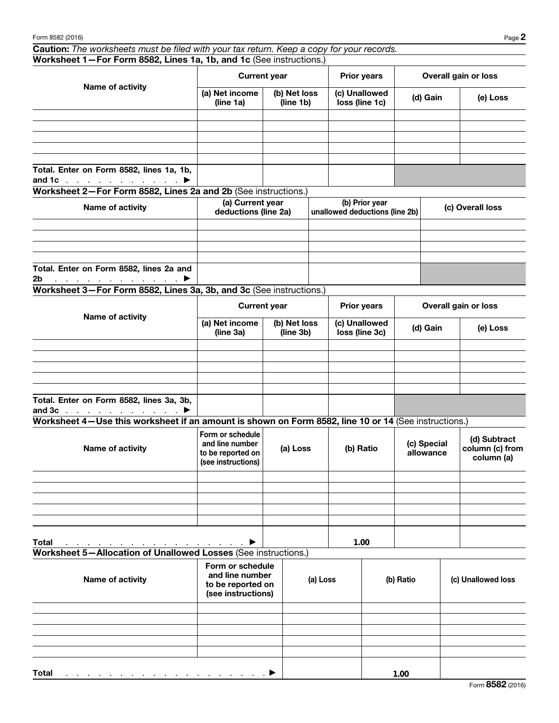Caution: *The worksheets must be filed with your tax return. Keep a copy for your records.* Worksheet 1—For Form 8582, Lines 1a, 1b, and 1c (See instructions.)

| Name of activity                                                                       |                             | <b>Current year</b>       | <b>Prior years</b>              | Overall gain or loss |          |  |
|----------------------------------------------------------------------------------------|-----------------------------|---------------------------|---------------------------------|----------------------|----------|--|
|                                                                                        | (a) Net income<br>(line 1a) | (b) Net loss<br>(line 1b) | (c) Unallowed<br>loss (line 1c) | (d) Gain             | (e) Loss |  |
|                                                                                        |                             |                           |                                 |                      |          |  |
|                                                                                        |                             |                           |                                 |                      |          |  |
|                                                                                        |                             |                           |                                 |                      |          |  |
|                                                                                        |                             |                           |                                 |                      |          |  |
|                                                                                        |                             |                           |                                 |                      |          |  |
| Total. Enter on Form 8582, lines 1a, 1b,<br>and 1c $\ldots$ $\ldots$ $\ldots$ $\ldots$ |                             |                           |                                 |                      |          |  |

Worksheet 2—For Form 8582, Lines 2a and 2b (See instructions.)

| Name of activity                                                                    | (a) Current year<br>deductions (line 2a) | (b) Prior year<br>unallowed deductions (line 2b) | (c) Overall loss |
|-------------------------------------------------------------------------------------|------------------------------------------|--------------------------------------------------|------------------|
|                                                                                     |                                          |                                                  |                  |
|                                                                                     |                                          |                                                  |                  |
|                                                                                     |                                          |                                                  |                  |
|                                                                                     |                                          |                                                  |                  |
| Total. Enter on Form 8582, lines 2a and                                             |                                          |                                                  |                  |
| 2 <sub>b</sub><br>$\ldots$ . The set of the set of the set of $\blacktriangleright$ |                                          |                                                  |                  |

Worksheet 3—For Form 8582, Lines 3a, 3b, and 3c (See instructions.)

| Name of activity                                                           |                             | <b>Current year</b>       | <b>Prior years</b>              | Overall gain or loss |          |  |
|----------------------------------------------------------------------------|-----------------------------|---------------------------|---------------------------------|----------------------|----------|--|
|                                                                            | (a) Net income<br>(line 3a) | (b) Net loss<br>(line 3b) | (c) Unallowed<br>loss (line 3c) | (d) Gain             | (e) Loss |  |
|                                                                            |                             |                           |                                 |                      |          |  |
|                                                                            |                             |                           |                                 |                      |          |  |
|                                                                            |                             |                           |                                 |                      |          |  |
|                                                                            |                             |                           |                                 |                      |          |  |
|                                                                            |                             |                           |                                 |                      |          |  |
| Total. Enter on Form 8582, lines 3a, 3b,<br>and $3c$ $\blacktriangleright$ |                             |                           |                                 |                      |          |  |

Worksheet 4—Use this worksheet if an amount is shown on Form 8582, line 10 or 14 (See instructions.)

| Name of activity                                                                                                                                                                                                                               | Form or schedule<br>and line number<br>to be reported on<br>(see instructions) | (a) Loss | (b) Ratio | (c) Special<br>allowance | (d) Subtract<br>column (c) from<br>column (a) |
|------------------------------------------------------------------------------------------------------------------------------------------------------------------------------------------------------------------------------------------------|--------------------------------------------------------------------------------|----------|-----------|--------------------------|-----------------------------------------------|
|                                                                                                                                                                                                                                                |                                                                                |          |           |                          |                                               |
|                                                                                                                                                                                                                                                |                                                                                |          |           |                          |                                               |
|                                                                                                                                                                                                                                                |                                                                                |          |           |                          |                                               |
|                                                                                                                                                                                                                                                |                                                                                |          |           |                          |                                               |
|                                                                                                                                                                                                                                                |                                                                                |          |           |                          |                                               |
| <b>Total</b><br>and the contract of the contract of the contract of the contract of the contract of the contract of the contract of the contract of the contract of the contract of the contract of the contract of the contract of the contra | $\blacktriangleright$                                                          |          | 1.00      |                          |                                               |

Worksheet 5—Allocation of Unallowed Losses (See instructions.)

| Name of activity                                                                                                | Form or schedule<br>and line number<br>to be reported on<br>(see instructions) | (a) Loss | (b) Ratio | (c) Unallowed loss |
|-----------------------------------------------------------------------------------------------------------------|--------------------------------------------------------------------------------|----------|-----------|--------------------|
|                                                                                                                 |                                                                                |          |           |                    |
|                                                                                                                 |                                                                                |          |           |                    |
|                                                                                                                 |                                                                                |          |           |                    |
|                                                                                                                 |                                                                                |          |           |                    |
|                                                                                                                 |                                                                                |          |           |                    |
| <b>Total</b><br>$\mathcal{L}$ . The set of the set of the set of the set of the set of the set of $\mathcal{L}$ |                                                                                |          | 1.00      |                    |